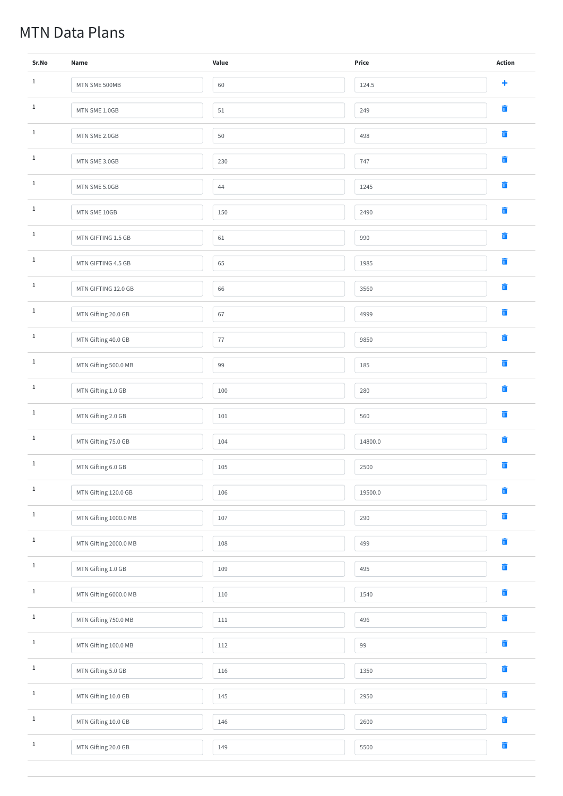## MTN Data Plans

| Sr.No        | <b>Name</b>           | Value | <b>Price</b> | <b>Action</b>      |
|--------------|-----------------------|-------|--------------|--------------------|
| $\mathbf{1}$ | MTN SME 500MB         | 60    | 124.5        | $\ddagger$         |
| $\mathbf{1}$ | MTN SME 1.0GB         | 51    | 249          | $\blacksquare$     |
| $\mathbf{1}$ | MTN SME 2.0GB         | 50    | 498          | $\blacksquare$     |
| $\mathbf{1}$ | MTN SME 3.0GB         | 230   | 747          | $\blacksquare$     |
| $\mathbf{1}$ | MTN SME 5.0GB         | 44    | 1245         | $\blacksquare$     |
| $\mathbf{1}$ | MTN SME 10GB          | 150   | 2490         | $\blacksquare$     |
| $\mathbf{1}$ | MTN GIFTING 1.5 GB    | 61    | 990          | $\blacksquare$     |
| $\,$ 1 $\,$  | MTN GIFTING 4.5 GB    | 65    | 1985         | $\blacksquare$     |
| $\mathbf{1}$ | MTN GIFTING 12.0 GB   | 66    | 3560         | $\blacksquare$     |
| $\mathbf{1}$ | MTN Gifting 20.0 GB   | 67    | 4999         | $\blacksquare$     |
| $\mathbf{1}$ | MTN Gifting 40.0 GB   | 77    | 9850         | $\blacksquare$     |
| $\mathbf{1}$ | MTN Gifting 500.0 MB  | 99    | 185          | 而                  |
| $\mathbf{1}$ | MTN Gifting 1.0 GB    | 100   | 280          | $\bar{\mathbf{u}}$ |
| $1\,$        | MTN Gifting 2.0 GB    | 101   | 560          | 面                  |
| $\mathbf{1}$ | MTN Gifting 75.0 GB   | 104   | 14800.0      | $\bar{\mathbb{m}}$ |
| $\mathbf{1}$ | MTN Gifting 6.0 GB    | 105   | 2500         | $\blacksquare$     |
| $\mathbf{1}$ | MTN Gifting 120.0 GB  | 106   | 19500.0      | $\bar{\mathbb{m}}$ |
| $\mathbf{1}$ | MTN Gifting 1000.0 MB | 107   | 290          | 面                  |
| $1\,$        | MTN Gifting 2000.0 MB | 108   | 499          | 面                  |
| $\mathbf{1}$ | MTN Gifting 1.0 GB    | 109   | 495          | $\blacksquare$     |
| $\mathbf 1$  | MTN Gifting 6000.0 MB | 110   | 1540         | $\blacksquare$     |

| MTN Gifting 750.0 MB | 111 | 496  |   |
|----------------------|-----|------|---|
| MTN Gifting 100.0 MB | 112 | 99   | 而 |
| MTN Gifting 5.0 GB   | 116 | 1350 |   |
| MTN Gifting 10.0 GB  | 145 | 2950 |   |
| MTN Gifting 10.0 GB  | 146 | 2600 |   |
| MTN Gifting 20.0 GB  | 149 | 5500 |   |